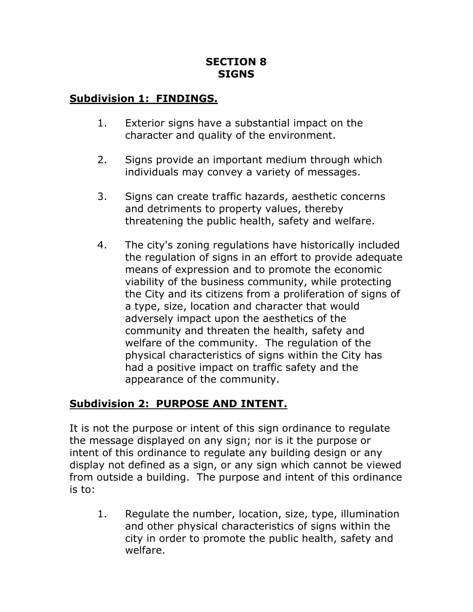#### **SECTION 8 SIGNS**

## **Subdivision 1: FINDINGS.**

- 1. Exterior signs have a substantial impact on the character and quality of the environment.
- 2. Signs provide an important medium through which individuals may convey a variety of messages.
- 3. Signs can create traffic hazards, aesthetic concerns and detriments to property values, thereby threatening the public health, safety and welfare.
- 4. The city's zoning regulations have historically included the regulation of signs in an effort to provide adequate means of expression and to promote the economic viability of the business community, while protecting the City and its citizens from a proliferation of signs of a type, size, location and character that would adversely impact upon the aesthetics of the community and threaten the health, safety and welfare of the community. The regulation of the physical characteristics of signs within the City has had a positive impact on traffic safety and the appearance of the community.

## **Subdivision 2: PURPOSE AND INTENT.**

It is not the purpose or intent of this sign ordinance to regulate the message displayed on any sign; nor is it the purpose or intent of this ordinance to regulate any building design or any display not defined as a sign, or any sign which cannot be viewed from outside a building. The purpose and intent of this ordinance is to:

1. Regulate the number, location, size, type, illumination and other physical characteristics of signs within the city in order to promote the public health, safety and welfare.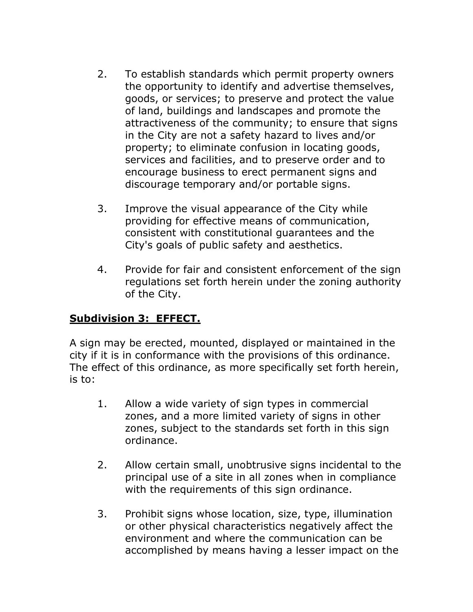- 2. To establish standards which permit property owners the opportunity to identify and advertise themselves, goods, or services; to preserve and protect the value of land, buildings and landscapes and promote the attractiveness of the community; to ensure that signs in the City are not a safety hazard to lives and/or property; to eliminate confusion in locating goods, services and facilities, and to preserve order and to encourage business to erect permanent signs and discourage temporary and/or portable signs.
- 3. Improve the visual appearance of the City while providing for effective means of communication, consistent with constitutional guarantees and the City's goals of public safety and aesthetics.
- 4. Provide for fair and consistent enforcement of the sign regulations set forth herein under the zoning authority of the City.

## **Subdivision 3: EFFECT.**

A sign may be erected, mounted, displayed or maintained in the city if it is in conformance with the provisions of this ordinance. The effect of this ordinance, as more specifically set forth herein, is to:

- 1. Allow a wide variety of sign types in commercial zones, and a more limited variety of signs in other zones, subject to the standards set forth in this sign ordinance.
- 2. Allow certain small, unobtrusive signs incidental to the principal use of a site in all zones when in compliance with the requirements of this sign ordinance.
- 3. Prohibit signs whose location, size, type, illumination or other physical characteristics negatively affect the environment and where the communication can be accomplished by means having a lesser impact on the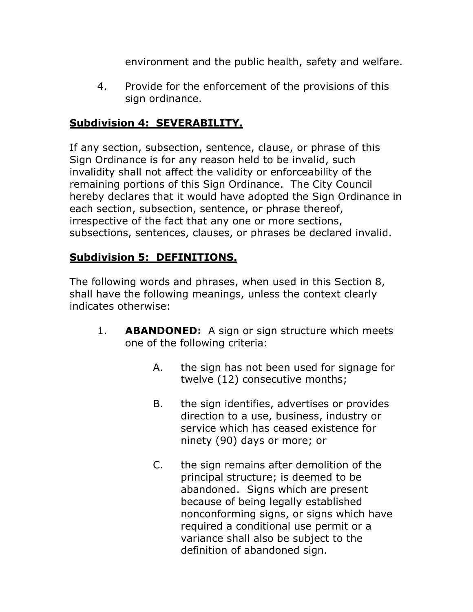environment and the public health, safety and welfare.

4. Provide for the enforcement of the provisions of this sign ordinance.

## **Subdivision 4: SEVERABILITY.**

If any section, subsection, sentence, clause, or phrase of this Sign Ordinance is for any reason held to be invalid, such invalidity shall not affect the validity or enforceability of the remaining portions of this Sign Ordinance. The City Council hereby declares that it would have adopted the Sign Ordinance in each section, subsection, sentence, or phrase thereof, irrespective of the fact that any one or more sections, subsections, sentences, clauses, or phrases be declared invalid.

### **Subdivision 5: DEFINITIONS.**

The following words and phrases, when used in this Section 8, shall have the following meanings, unless the context clearly indicates otherwise:

- 1. **ABANDONED:** A sign or sign structure which meets one of the following criteria:
	- A. the sign has not been used for signage for twelve (12) consecutive months;
	- B. the sign identifies, advertises or provides direction to a use, business, industry or service which has ceased existence for ninety (90) days or more; or
	- C. the sign remains after demolition of the principal structure; is deemed to be abandoned. Signs which are present because of being legally established nonconforming signs, or signs which have required a conditional use permit or a variance shall also be subject to the definition of abandoned sign.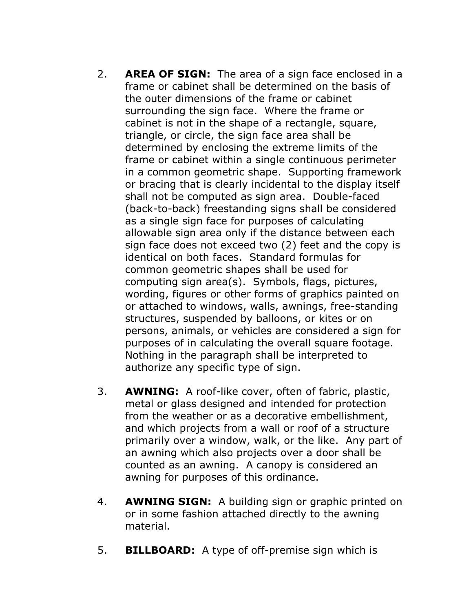- 2. **AREA OF SIGN:** The area of a sign face enclosed in a frame or cabinet shall be determined on the basis of the outer dimensions of the frame or cabinet surrounding the sign face. Where the frame or cabinet is not in the shape of a rectangle, square, triangle, or circle, the sign face area shall be determined by enclosing the extreme limits of the frame or cabinet within a single continuous perimeter in a common geometric shape. Supporting framework or bracing that is clearly incidental to the display itself shall not be computed as sign area. Double-faced (back-to-back) freestanding signs shall be considered as a single sign face for purposes of calculating allowable sign area only if the distance between each sign face does not exceed two (2) feet and the copy is identical on both faces. Standard formulas for common geometric shapes shall be used for computing sign area(s). Symbols, flags, pictures, wording, figures or other forms of graphics painted on or attached to windows, walls, awnings, free-standing structures, suspended by balloons, or kites or on persons, animals, or vehicles are considered a sign for purposes of in calculating the overall square footage. Nothing in the paragraph shall be interpreted to authorize any specific type of sign.
- 3. **AWNING:** A roof-like cover, often of fabric, plastic, metal or glass designed and intended for protection from the weather or as a decorative embellishment, and which projects from a wall or roof of a structure primarily over a window, walk, or the like. Any part of an awning which also projects over a door shall be counted as an awning. A canopy is considered an awning for purposes of this ordinance.
- 4. **AWNING SIGN:** A building sign or graphic printed on or in some fashion attached directly to the awning material.
- 5. **BILLBOARD:** A type of off-premise sign which is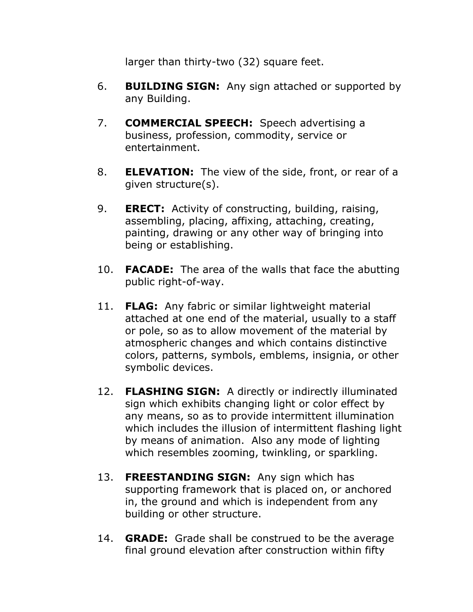larger than thirty-two (32) square feet.

- 6. **BUILDING SIGN:** Any sign attached or supported by any Building.
- 7. **COMMERCIAL SPEECH:** Speech advertising a business, profession, commodity, service or entertainment.
- 8. **ELEVATION:** The view of the side, front, or rear of a given structure(s).
- 9. **ERECT:** Activity of constructing, building, raising, assembling, placing, affixing, attaching, creating, painting, drawing or any other way of bringing into being or establishing.
- 10. **FACADE:** The area of the walls that face the abutting public right-of-way.
- 11. **FLAG:** Any fabric or similar lightweight material attached at one end of the material, usually to a staff or pole, so as to allow movement of the material by atmospheric changes and which contains distinctive colors, patterns, symbols, emblems, insignia, or other symbolic devices.
- 12. **FLASHING SIGN:** A directly or indirectly illuminated sign which exhibits changing light or color effect by any means, so as to provide intermittent illumination which includes the illusion of intermittent flashing light by means of animation. Also any mode of lighting which resembles zooming, twinkling, or sparkling.
- 13. **FREESTANDING SIGN:** Any sign which has supporting framework that is placed on, or anchored in, the ground and which is independent from any building or other structure.
- 14. **GRADE:** Grade shall be construed to be the average final ground elevation after construction within fifty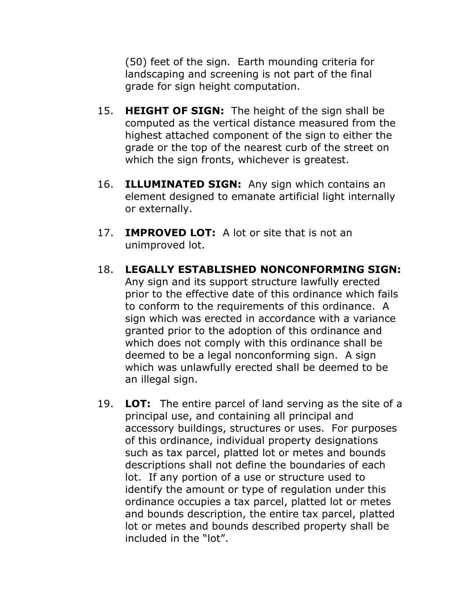(50) feet of the sign. Earth mounding criteria for landscaping and screening is not part of the final grade for sign height computation.

- 15. **HEIGHT OF SIGN:** The height of the sign shall be computed as the vertical distance measured from the highest attached component of the sign to either the grade or the top of the nearest curb of the street on which the sign fronts, whichever is greatest.
- 16. **ILLUMINATED SIGN:** Any sign which contains an element designed to emanate artificial light internally or externally.
- 17. **IMPROVED LOT:** A lot or site that is not an unimproved lot.
- 18. **LEGALLY ESTABLISHED NONCONFORMING SIGN:** Any sign and its support structure lawfully erected prior to the effective date of this ordinance which fails to conform to the requirements of this ordinance. A sign which was erected in accordance with a variance granted prior to the adoption of this ordinance and which does not comply with this ordinance shall be deemed to be a legal nonconforming sign. A sign which was unlawfully erected shall be deemed to be an illegal sign.
- 19. **LOT:** The entire parcel of land serving as the site of a principal use, and containing all principal and accessory buildings, structures or uses. For purposes of this ordinance, individual property designations such as tax parcel, platted lot or metes and bounds descriptions shall not define the boundaries of each lot. If any portion of a use or structure used to identify the amount or type of regulation under this ordinance occupies a tax parcel, platted lot or metes and bounds description, the entire tax parcel, platted lot or metes and bounds described property shall be included in the "lot".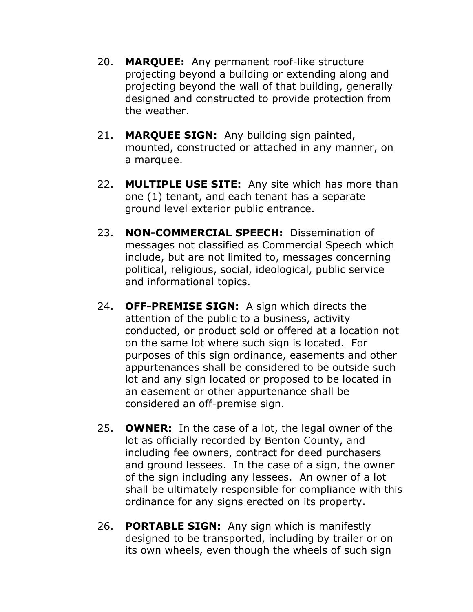- 20. **MARQUEE:** Any permanent roof-like structure projecting beyond a building or extending along and projecting beyond the wall of that building, generally designed and constructed to provide protection from the weather.
- 21. **MARQUEE SIGN:** Any building sign painted, mounted, constructed or attached in any manner, on a marquee.
- 22. **MULTIPLE USE SITE:** Any site which has more than one (1) tenant, and each tenant has a separate ground level exterior public entrance.
- 23. **NON-COMMERCIAL SPEECH:** Dissemination of messages not classified as Commercial Speech which include, but are not limited to, messages concerning political, religious, social, ideological, public service and informational topics.
- 24. **OFF-PREMISE SIGN:** A sign which directs the attention of the public to a business, activity conducted, or product sold or offered at a location not on the same lot where such sign is located. For purposes of this sign ordinance, easements and other appurtenances shall be considered to be outside such lot and any sign located or proposed to be located in an easement or other appurtenance shall be considered an off-premise sign.
- 25. **OWNER:** In the case of a lot, the legal owner of the lot as officially recorded by Benton County, and including fee owners, contract for deed purchasers and ground lessees. In the case of a sign, the owner of the sign including any lessees. An owner of a lot shall be ultimately responsible for compliance with this ordinance for any signs erected on its property.
- 26. **PORTABLE SIGN:** Any sign which is manifestly designed to be transported, including by trailer or on its own wheels, even though the wheels of such sign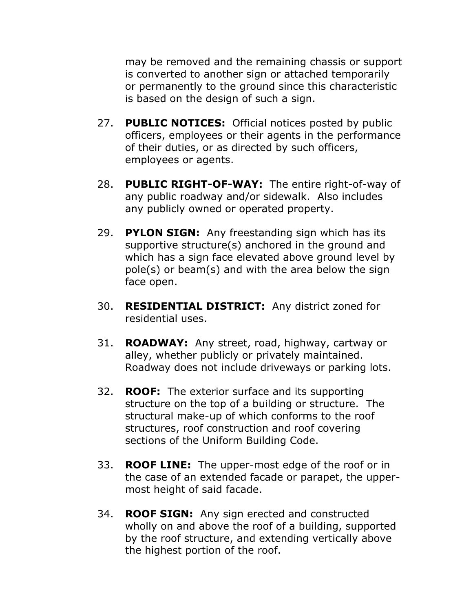may be removed and the remaining chassis or support is converted to another sign or attached temporarily or permanently to the ground since this characteristic is based on the design of such a sign.

- 27. **PUBLIC NOTICES:** Official notices posted by public officers, employees or their agents in the performance of their duties, or as directed by such officers, employees or agents.
- 28. **PUBLIC RIGHT-OF-WAY:** The entire right-of-way of any public roadway and/or sidewalk. Also includes any publicly owned or operated property.
- 29. **PYLON SIGN:** Any freestanding sign which has its supportive structure(s) anchored in the ground and which has a sign face elevated above ground level by pole(s) or beam(s) and with the area below the sign face open.
- 30. **RESIDENTIAL DISTRICT:** Any district zoned for residential uses.
- 31. **ROADWAY:** Any street, road, highway, cartway or alley, whether publicly or privately maintained. Roadway does not include driveways or parking lots.
- 32. **ROOF:** The exterior surface and its supporting structure on the top of a building or structure. The structural make-up of which conforms to the roof structures, roof construction and roof covering sections of the Uniform Building Code.
- 33. **ROOF LINE:** The upper-most edge of the roof or in the case of an extended facade or parapet, the uppermost height of said facade.
- 34. **ROOF SIGN:** Any sign erected and constructed wholly on and above the roof of a building, supported by the roof structure, and extending vertically above the highest portion of the roof.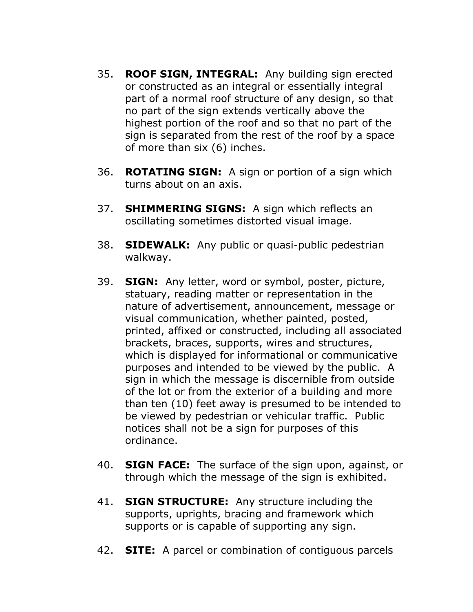- 35. **ROOF SIGN, INTEGRAL:** Any building sign erected or constructed as an integral or essentially integral part of a normal roof structure of any design, so that no part of the sign extends vertically above the highest portion of the roof and so that no part of the sign is separated from the rest of the roof by a space of more than six (6) inches.
- 36. **ROTATING SIGN:** A sign or portion of a sign which turns about on an axis.
- 37. **SHIMMERING SIGNS:** A sign which reflects an oscillating sometimes distorted visual image.
- 38. **SIDEWALK:** Any public or quasi-public pedestrian walkway.
- 39. **SIGN:** Any letter, word or symbol, poster, picture, statuary, reading matter or representation in the nature of advertisement, announcement, message or visual communication, whether painted, posted, printed, affixed or constructed, including all associated brackets, braces, supports, wires and structures, which is displayed for informational or communicative purposes and intended to be viewed by the public. A sign in which the message is discernible from outside of the lot or from the exterior of a building and more than ten (10) feet away is presumed to be intended to be viewed by pedestrian or vehicular traffic. Public notices shall not be a sign for purposes of this ordinance.
- 40. **SIGN FACE:** The surface of the sign upon, against, or through which the message of the sign is exhibited.
- 41. **SIGN STRUCTURE:** Any structure including the supports, uprights, bracing and framework which supports or is capable of supporting any sign.
- 42. **SITE:** A parcel or combination of contiguous parcels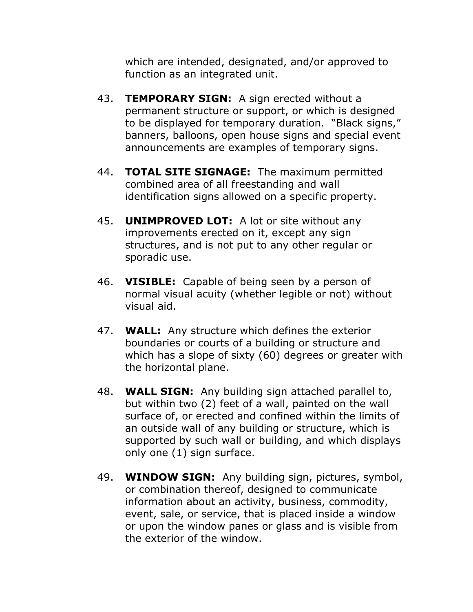which are intended, designated, and/or approved to function as an integrated unit.

- 43. **TEMPORARY SIGN:** A sign erected without a permanent structure or support, or which is designed to be displayed for temporary duration. "Black signs," banners, balloons, open house signs and special event announcements are examples of temporary signs.
- 44. **TOTAL SITE SIGNAGE:** The maximum permitted combined area of all freestanding and wall identification signs allowed on a specific property.
- 45. **UNIMPROVED LOT:** A lot or site without any improvements erected on it, except any sign structures, and is not put to any other regular or sporadic use.
- 46. **VISIBLE:** Capable of being seen by a person of normal visual acuity (whether legible or not) without visual aid.
- 47. **WALL:** Any structure which defines the exterior boundaries or courts of a building or structure and which has a slope of sixty (60) degrees or greater with the horizontal plane.
- 48. **WALL SIGN:** Any building sign attached parallel to, but within two (2) feet of a wall, painted on the wall surface of, or erected and confined within the limits of an outside wall of any building or structure, which is supported by such wall or building, and which displays only one (1) sign surface.
- 49. **WINDOW SIGN:** Any building sign, pictures, symbol, or combination thereof, designed to communicate information about an activity, business, commodity, event, sale, or service, that is placed inside a window or upon the window panes or glass and is visible from the exterior of the window.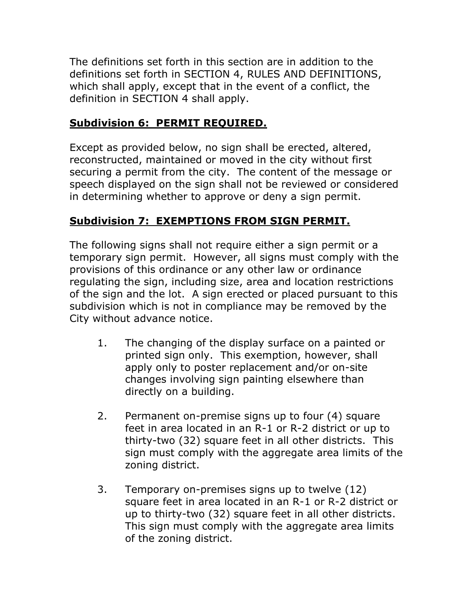The definitions set forth in this section are in addition to the definitions set forth in SECTION 4, RULES AND DEFINITIONS, which shall apply, except that in the event of a conflict, the definition in SECTION 4 shall apply.

# **Subdivision 6: PERMIT REQUIRED.**

Except as provided below, no sign shall be erected, altered, reconstructed, maintained or moved in the city without first securing a permit from the city. The content of the message or speech displayed on the sign shall not be reviewed or considered in determining whether to approve or deny a sign permit.

## **Subdivision 7: EXEMPTIONS FROM SIGN PERMIT.**

The following signs shall not require either a sign permit or a temporary sign permit. However, all signs must comply with the provisions of this ordinance or any other law or ordinance regulating the sign, including size, area and location restrictions of the sign and the lot. A sign erected or placed pursuant to this subdivision which is not in compliance may be removed by the City without advance notice.

- 1. The changing of the display surface on a painted or printed sign only. This exemption, however, shall apply only to poster replacement and/or on-site changes involving sign painting elsewhere than directly on a building.
- 2. Permanent on-premise signs up to four (4) square feet in area located in an R-1 or R-2 district or up to thirty-two (32) square feet in all other districts. This sign must comply with the aggregate area limits of the zoning district.
- 3. Temporary on-premises signs up to twelve (12) square feet in area located in an R-1 or R-2 district or up to thirty-two (32) square feet in all other districts. This sign must comply with the aggregate area limits of the zoning district.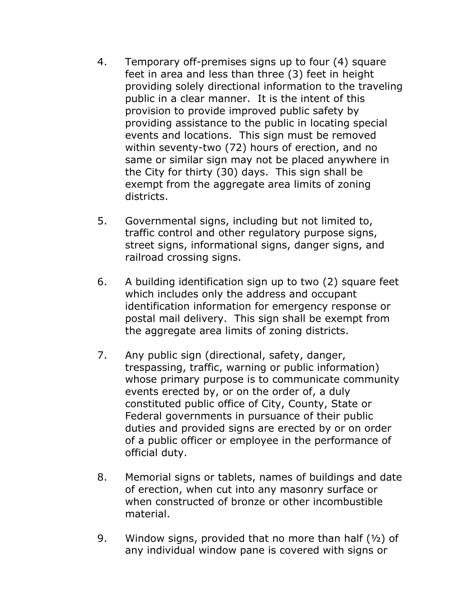- 4. Temporary off-premises signs up to four (4) square feet in area and less than three (3) feet in height providing solely directional information to the traveling public in a clear manner. It is the intent of this provision to provide improved public safety by providing assistance to the public in locating special events and locations. This sign must be removed within seventy-two (72) hours of erection, and no same or similar sign may not be placed anywhere in the City for thirty (30) days. This sign shall be exempt from the aggregate area limits of zoning districts.
- 5. Governmental signs, including but not limited to, traffic control and other regulatory purpose signs, street signs, informational signs, danger signs, and railroad crossing signs.
- 6. A building identification sign up to two (2) square feet which includes only the address and occupant identification information for emergency response or postal mail delivery. This sign shall be exempt from the aggregate area limits of zoning districts.
- 7. Any public sign (directional, safety, danger, trespassing, traffic, warning or public information) whose primary purpose is to communicate community events erected by, or on the order of, a duly constituted public office of City, County, State or Federal governments in pursuance of their public duties and provided signs are erected by or on order of a public officer or employee in the performance of official duty.
- 8. Memorial signs or tablets, names of buildings and date of erection, when cut into any masonry surface or when constructed of bronze or other incombustible material.
- 9. Window signs, provided that no more than half  $(1/2)$  of any individual window pane is covered with signs or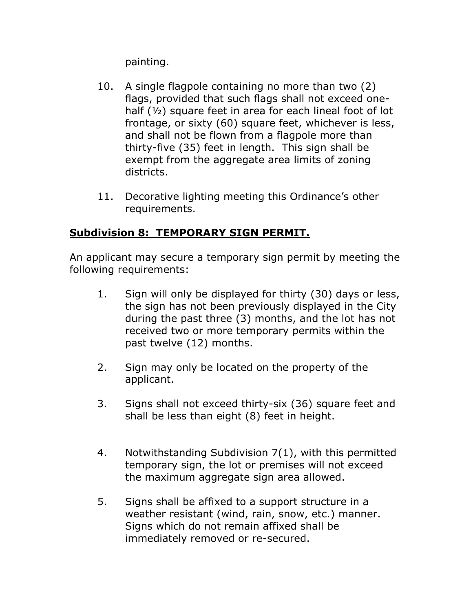painting.

- 10. A single flagpole containing no more than two (2) flags, provided that such flags shall not exceed onehalf (½) square feet in area for each lineal foot of lot frontage, or sixty (60) square feet, whichever is less, and shall not be flown from a flagpole more than thirty-five (35) feet in length. This sign shall be exempt from the aggregate area limits of zoning districts.
- 11. Decorative lighting meeting this Ordinance's other requirements.

# **Subdivision 8: TEMPORARY SIGN PERMIT.**

An applicant may secure a temporary sign permit by meeting the following requirements:

- 1. Sign will only be displayed for thirty (30) days or less, the sign has not been previously displayed in the City during the past three (3) months, and the lot has not received two or more temporary permits within the past twelve (12) months.
- 2. Sign may only be located on the property of the applicant.
- 3. Signs shall not exceed thirty-six (36) square feet and shall be less than eight (8) feet in height.
- 4. Notwithstanding Subdivision 7(1), with this permitted temporary sign, the lot or premises will not exceed the maximum aggregate sign area allowed.
- 5. Signs shall be affixed to a support structure in a weather resistant (wind, rain, snow, etc.) manner. Signs which do not remain affixed shall be immediately removed or re-secured.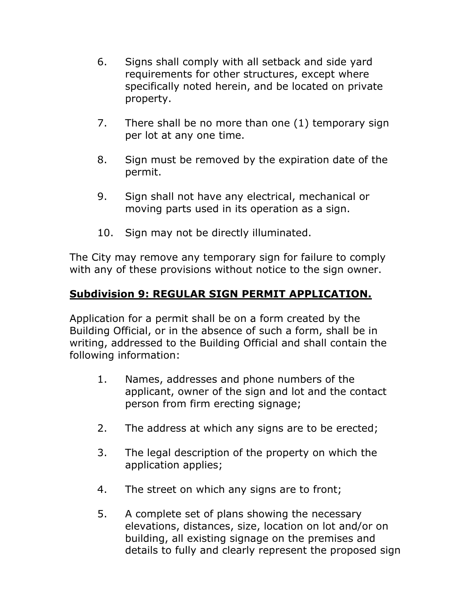- 6. Signs shall comply with all setback and side yard requirements for other structures, except where specifically noted herein, and be located on private property.
- 7. There shall be no more than one (1) temporary sign per lot at any one time.
- 8. Sign must be removed by the expiration date of the permit.
- 9. Sign shall not have any electrical, mechanical or moving parts used in its operation as a sign.
- 10. Sign may not be directly illuminated.

The City may remove any temporary sign for failure to comply with any of these provisions without notice to the sign owner.

# **Subdivision 9: REGULAR SIGN PERMIT APPLICATION.**

Application for a permit shall be on a form created by the Building Official, or in the absence of such a form, shall be in writing, addressed to the Building Official and shall contain the following information:

- 1. Names, addresses and phone numbers of the applicant, owner of the sign and lot and the contact person from firm erecting signage;
- 2. The address at which any signs are to be erected;
- 3. The legal description of the property on which the application applies;
- 4. The street on which any signs are to front;
- 5. A complete set of plans showing the necessary elevations, distances, size, location on lot and/or on building, all existing signage on the premises and details to fully and clearly represent the proposed sign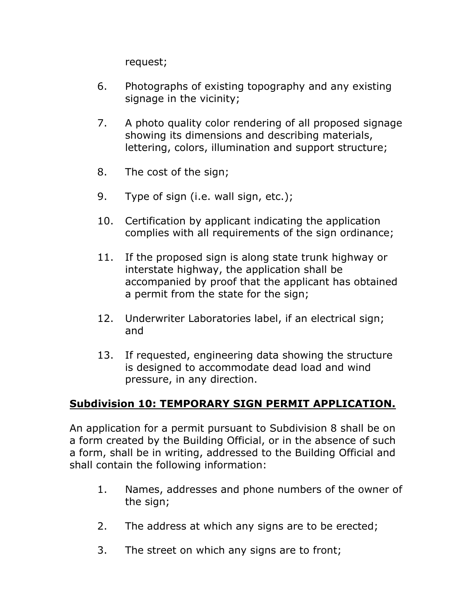request;

- 6. Photographs of existing topography and any existing signage in the vicinity;
- 7. A photo quality color rendering of all proposed signage showing its dimensions and describing materials, lettering, colors, illumination and support structure;
- 8. The cost of the sign;
- 9. Type of sign (i.e. wall sign, etc.);
- 10. Certification by applicant indicating the application complies with all requirements of the sign ordinance;
- 11. If the proposed sign is along state trunk highway or interstate highway, the application shall be accompanied by proof that the applicant has obtained a permit from the state for the sign;
- 12. Underwriter Laboratories label, if an electrical sign; and
- 13. If requested, engineering data showing the structure is designed to accommodate dead load and wind pressure, in any direction.

#### **Subdivision 10: TEMPORARY SIGN PERMIT APPLICATION.**

An application for a permit pursuant to Subdivision 8 shall be on a form created by the Building Official, or in the absence of such a form, shall be in writing, addressed to the Building Official and shall contain the following information:

- 1. Names, addresses and phone numbers of the owner of the sign;
- 2. The address at which any signs are to be erected;
- 3. The street on which any signs are to front;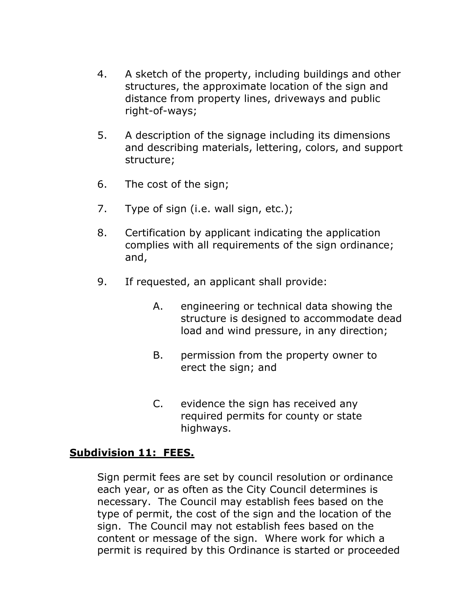- 4. A sketch of the property, including buildings and other structures, the approximate location of the sign and distance from property lines, driveways and public right-of-ways;
- 5. A description of the signage including its dimensions and describing materials, lettering, colors, and support structure;
- 6. The cost of the sign;
- 7. Type of sign (i.e. wall sign, etc.);
- 8. Certification by applicant indicating the application complies with all requirements of the sign ordinance; and,
- 9. If requested, an applicant shall provide:
	- A. engineering or technical data showing the structure is designed to accommodate dead load and wind pressure, in any direction;
	- B. permission from the property owner to erect the sign; and
	- C. evidence the sign has received any required permits for county or state highways.

#### **Subdivision 11: FEES.**

Sign permit fees are set by council resolution or ordinance each year, or as often as the City Council determines is necessary. The Council may establish fees based on the type of permit, the cost of the sign and the location of the sign. The Council may not establish fees based on the content or message of the sign. Where work for which a permit is required by this Ordinance is started or proceeded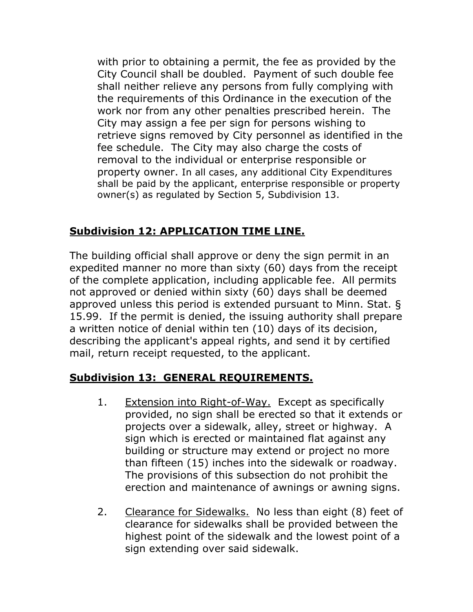with prior to obtaining a permit, the fee as provided by the City Council shall be doubled. Payment of such double fee shall neither relieve any persons from fully complying with the requirements of this Ordinance in the execution of the work nor from any other penalties prescribed herein. The City may assign a fee per sign for persons wishing to retrieve signs removed by City personnel as identified in the fee schedule. The City may also charge the costs of removal to the individual or enterprise responsible or property owner. In all cases, any additional City Expenditures shall be paid by the applicant, enterprise responsible or property owner(s) as regulated by Section 5, Subdivision 13.

## **Subdivision 12: APPLICATION TIME LINE.**

The building official shall approve or deny the sign permit in an expedited manner no more than sixty (60) days from the receipt of the complete application, including applicable fee. All permits not approved or denied within sixty (60) days shall be deemed approved unless this period is extended pursuant to Minn. Stat. § 15.99. If the permit is denied, the issuing authority shall prepare a written notice of denial within ten (10) days of its decision, describing the applicant's appeal rights, and send it by certified mail, return receipt requested, to the applicant.

# **Subdivision 13: GENERAL REQUIREMENTS.**

- 1. Extension into Right-of-Way. Except as specifically provided, no sign shall be erected so that it extends or projects over a sidewalk, alley, street or highway. A sign which is erected or maintained flat against any building or structure may extend or project no more than fifteen (15) inches into the sidewalk or roadway. The provisions of this subsection do not prohibit the erection and maintenance of awnings or awning signs.
- 2. Clearance for Sidewalks. No less than eight (8) feet of clearance for sidewalks shall be provided between the highest point of the sidewalk and the lowest point of a sign extending over said sidewalk.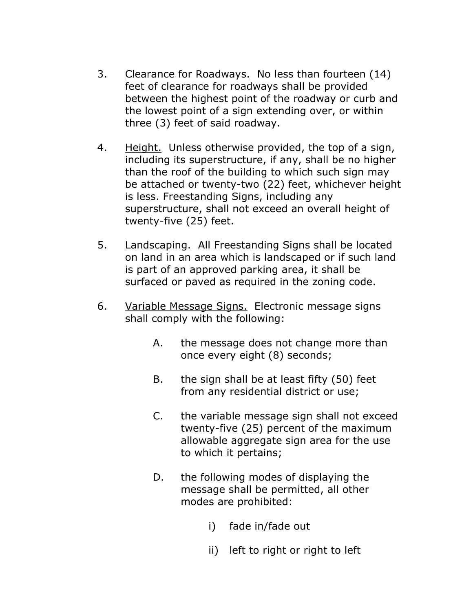- 3. Clearance for Roadways. No less than fourteen (14) feet of clearance for roadways shall be provided between the highest point of the roadway or curb and the lowest point of a sign extending over, or within three (3) feet of said roadway.
- 4. Height. Unless otherwise provided, the top of a sign, including its superstructure, if any, shall be no higher than the roof of the building to which such sign may be attached or twenty-two (22) feet, whichever height is less. Freestanding Signs, including any superstructure, shall not exceed an overall height of twenty-five (25) feet.
- 5. Landscaping. All Freestanding Signs shall be located on land in an area which is landscaped or if such land is part of an approved parking area, it shall be surfaced or paved as required in the zoning code.
- 6. Variable Message Signs. Electronic message signs shall comply with the following:
	- A. the message does not change more than once every eight (8) seconds;
	- B. the sign shall be at least fifty (50) feet from any residential district or use;
	- C. the variable message sign shall not exceed twenty-five (25) percent of the maximum allowable aggregate sign area for the use to which it pertains;
	- D. the following modes of displaying the message shall be permitted, all other modes are prohibited:
		- i) fade in/fade out
		- ii) left to right or right to left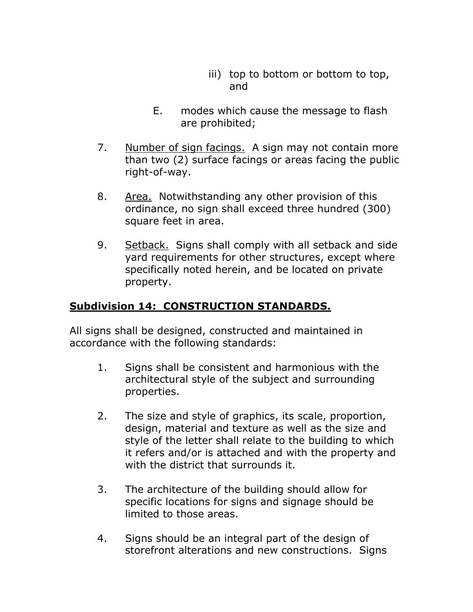- iii) top to bottom or bottom to top, and
- E. modes which cause the message to flash are prohibited;
- 7. Number of sign facings. A sign may not contain more than two (2) surface facings or areas facing the public right-of-way.
- 8. Area. Notwithstanding any other provision of this ordinance, no sign shall exceed three hundred (300) square feet in area.
- 9. Setback. Signs shall comply with all setback and side yard requirements for other structures, except where specifically noted herein, and be located on private property.

#### **Subdivision 14: CONSTRUCTION STANDARDS.**

All signs shall be designed, constructed and maintained in accordance with the following standards:

- 1. Signs shall be consistent and harmonious with the architectural style of the subject and surrounding properties.
- 2. The size and style of graphics, its scale, proportion, design, material and texture as well as the size and style of the letter shall relate to the building to which it refers and/or is attached and with the property and with the district that surrounds it.
- 3. The architecture of the building should allow for specific locations for signs and signage should be limited to those areas.
- 4. Signs should be an integral part of the design of storefront alterations and new constructions. Signs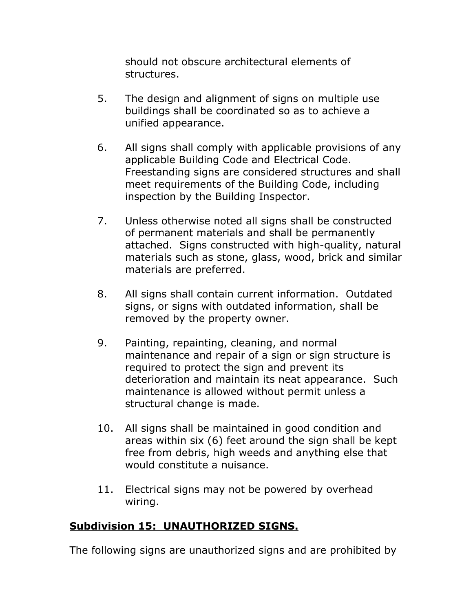should not obscure architectural elements of structures.

- 5. The design and alignment of signs on multiple use buildings shall be coordinated so as to achieve a unified appearance.
- 6. All signs shall comply with applicable provisions of any applicable Building Code and Electrical Code. Freestanding signs are considered structures and shall meet requirements of the Building Code, including inspection by the Building Inspector.
- 7. Unless otherwise noted all signs shall be constructed of permanent materials and shall be permanently attached. Signs constructed with high-quality, natural materials such as stone, glass, wood, brick and similar materials are preferred.
- 8. All signs shall contain current information. Outdated signs, or signs with outdated information, shall be removed by the property owner.
- 9. Painting, repainting, cleaning, and normal maintenance and repair of a sign or sign structure is required to protect the sign and prevent its deterioration and maintain its neat appearance. Such maintenance is allowed without permit unless a structural change is made.
- 10. All signs shall be maintained in good condition and areas within six (6) feet around the sign shall be kept free from debris, high weeds and anything else that would constitute a nuisance.
- 11. Electrical signs may not be powered by overhead wiring.

## **Subdivision 15: UNAUTHORIZED SIGNS.**

The following signs are unauthorized signs and are prohibited by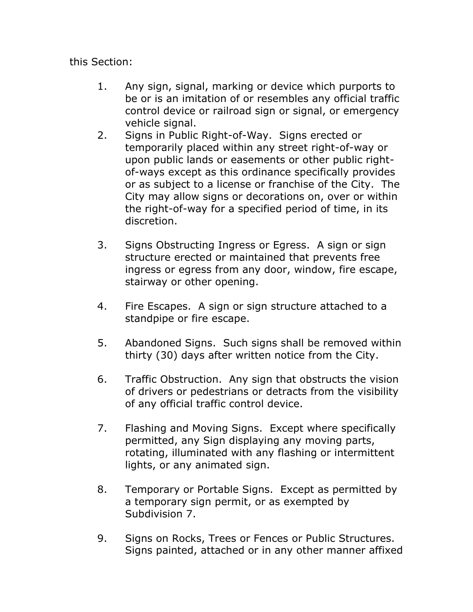this Section:

- 1. Any sign, signal, marking or device which purports to be or is an imitation of or resembles any official traffic control device or railroad sign or signal, or emergency vehicle signal.
- 2. Signs in Public Right-of-Way. Signs erected or temporarily placed within any street right-of-way or upon public lands or easements or other public rightof-ways except as this ordinance specifically provides or as subject to a license or franchise of the City. The City may allow signs or decorations on, over or within the right-of-way for a specified period of time, in its discretion.
- 3. Signs Obstructing Ingress or Egress. A sign or sign structure erected or maintained that prevents free ingress or egress from any door, window, fire escape, stairway or other opening.
- 4. Fire Escapes. A sign or sign structure attached to a standpipe or fire escape.
- 5. Abandoned Signs. Such signs shall be removed within thirty (30) days after written notice from the City.
- 6. Traffic Obstruction. Any sign that obstructs the vision of drivers or pedestrians or detracts from the visibility of any official traffic control device.
- 7. Flashing and Moving Signs. Except where specifically permitted, any Sign displaying any moving parts, rotating, illuminated with any flashing or intermittent lights, or any animated sign.
- 8. Temporary or Portable Signs. Except as permitted by a temporary sign permit, or as exempted by Subdivision 7.
- 9. Signs on Rocks, Trees or Fences or Public Structures. Signs painted, attached or in any other manner affixed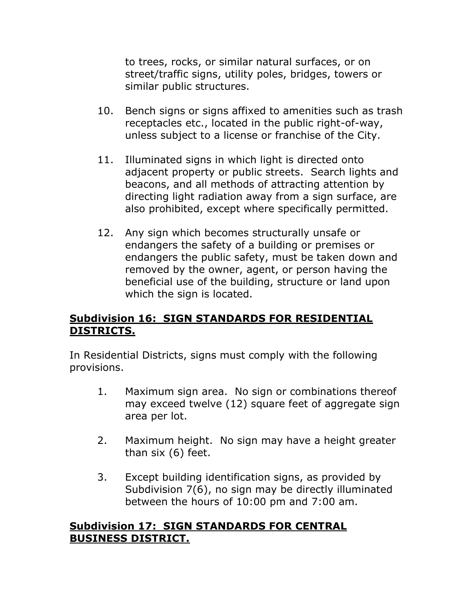to trees, rocks, or similar natural surfaces, or on street/traffic signs, utility poles, bridges, towers or similar public structures.

- 10. Bench signs or signs affixed to amenities such as trash receptacles etc., located in the public right-of-way, unless subject to a license or franchise of the City.
- 11. Illuminated signs in which light is directed onto adjacent property or public streets. Search lights and beacons, and all methods of attracting attention by directing light radiation away from a sign surface, are also prohibited, except where specifically permitted.
- 12. Any sign which becomes structurally unsafe or endangers the safety of a building or premises or endangers the public safety, must be taken down and removed by the owner, agent, or person having the beneficial use of the building, structure or land upon which the sign is located.

### **Subdivision 16: SIGN STANDARDS FOR RESIDENTIAL DISTRICTS.**

In Residential Districts, signs must comply with the following provisions.

- 1. Maximum sign area. No sign or combinations thereof may exceed twelve (12) square feet of aggregate sign area per lot.
- 2. Maximum height. No sign may have a height greater than six (6) feet.
- 3. Except building identification signs, as provided by Subdivision 7(6), no sign may be directly illuminated between the hours of 10:00 pm and 7:00 am.

#### **Subdivision 17: SIGN STANDARDS FOR CENTRAL BUSINESS DISTRICT.**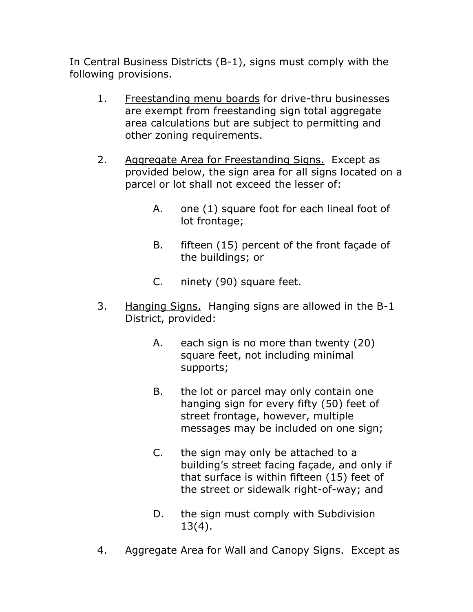In Central Business Districts (B-1), signs must comply with the following provisions.

- 1. Freestanding menu boards for drive-thru businesses are exempt from freestanding sign total aggregate area calculations but are subject to permitting and other zoning requirements.
- 2. Aggregate Area for Freestanding Signs. Except as provided below, the sign area for all signs located on a parcel or lot shall not exceed the lesser of:
	- A. one (1) square foot for each lineal foot of lot frontage;
	- B. fifteen (15) percent of the front façade of the buildings; or
	- C. ninety (90) square feet.
- 3. Hanging Signs. Hanging signs are allowed in the B-1 District, provided:
	- A. each sign is no more than twenty (20) square feet, not including minimal supports;
	- B. the lot or parcel may only contain one hanging sign for every fifty (50) feet of street frontage, however, multiple messages may be included on one sign;
	- C. the sign may only be attached to a building's street facing façade, and only if that surface is within fifteen (15) feet of the street or sidewalk right-of-way; and
	- D. the sign must comply with Subdivision 13(4).
- 4. Aggregate Area for Wall and Canopy Signs. Except as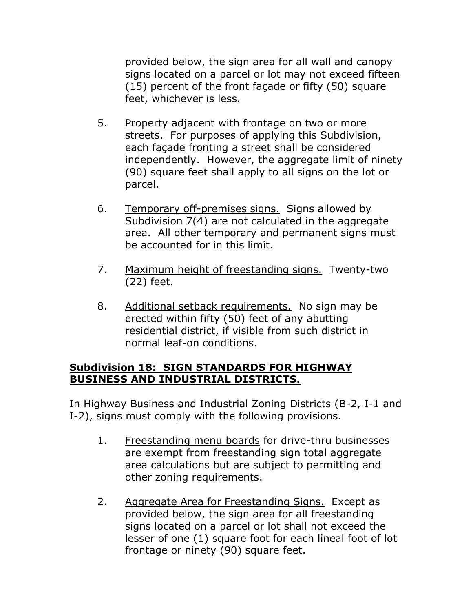provided below, the sign area for all wall and canopy signs located on a parcel or lot may not exceed fifteen (15) percent of the front façade or fifty (50) square feet, whichever is less.

- 5. Property adjacent with frontage on two or more streets. For purposes of applying this Subdivision, each façade fronting a street shall be considered independently. However, the aggregate limit of ninety (90) square feet shall apply to all signs on the lot or parcel.
- 6. Temporary off-premises signs. Signs allowed by Subdivision 7(4) are not calculated in the aggregate area. All other temporary and permanent signs must be accounted for in this limit.
- 7. Maximum height of freestanding signs. Twenty-two (22) feet.
- 8. Additional setback requirements. No sign may be erected within fifty (50) feet of any abutting residential district, if visible from such district in normal leaf-on conditions.

#### **Subdivision 18: SIGN STANDARDS FOR HIGHWAY BUSINESS AND INDUSTRIAL DISTRICTS.**

In Highway Business and Industrial Zoning Districts (B-2, I-1 and I-2), signs must comply with the following provisions.

- 1. Freestanding menu boards for drive-thru businesses are exempt from freestanding sign total aggregate area calculations but are subject to permitting and other zoning requirements.
- 2. Aggregate Area for Freestanding Signs. Except as provided below, the sign area for all freestanding signs located on a parcel or lot shall not exceed the lesser of one (1) square foot for each lineal foot of lot frontage or ninety (90) square feet.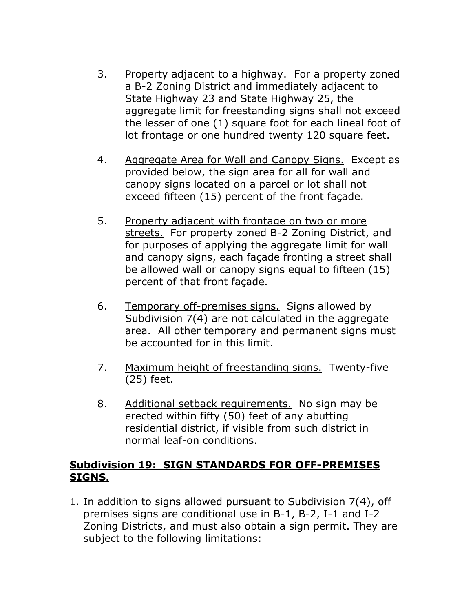- 3. Property adjacent to a highway. For a property zoned a B-2 Zoning District and immediately adjacent to State Highway 23 and State Highway 25, the aggregate limit for freestanding signs shall not exceed the lesser of one (1) square foot for each lineal foot of lot frontage or one hundred twenty 120 square feet.
- 4. Aggregate Area for Wall and Canopy Signs. Except as provided below, the sign area for all for wall and canopy signs located on a parcel or lot shall not exceed fifteen (15) percent of the front façade.
- 5. Property adjacent with frontage on two or more streets. For property zoned B-2 Zoning District, and for purposes of applying the aggregate limit for wall and canopy signs, each façade fronting a street shall be allowed wall or canopy signs equal to fifteen (15) percent of that front façade.
- 6. Temporary off-premises signs. Signs allowed by Subdivision 7(4) are not calculated in the aggregate area. All other temporary and permanent signs must be accounted for in this limit.
- 7. Maximum height of freestanding signs. Twenty-five (25) feet.
- 8. Additional setback requirements. No sign may be erected within fifty (50) feet of any abutting residential district, if visible from such district in normal leaf-on conditions.

#### **Subdivision 19: SIGN STANDARDS FOR OFF-PREMISES SIGNS.**

1. In addition to signs allowed pursuant to Subdivision 7(4), off premises signs are conditional use in B-1, B-2, I-1 and I-2 Zoning Districts, and must also obtain a sign permit. They are subject to the following limitations: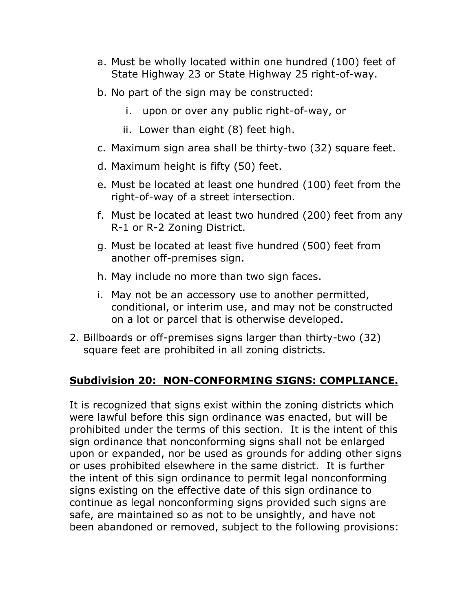- a. Must be wholly located within one hundred (100) feet of State Highway 23 or State Highway 25 right-of-way.
- b. No part of the sign may be constructed:
	- i. upon or over any public right-of-way, or
	- ii. Lower than eight (8) feet high.
- c. Maximum sign area shall be thirty-two (32) square feet.
- d. Maximum height is fifty (50) feet.
- e. Must be located at least one hundred (100) feet from the right-of-way of a street intersection.
- f. Must be located at least two hundred (200) feet from any R-1 or R-2 Zoning District.
- g. Must be located at least five hundred (500) feet from another off-premises sign.
- h. May include no more than two sign faces.
- i. May not be an accessory use to another permitted, conditional, or interim use, and may not be constructed on a lot or parcel that is otherwise developed.
- 2. Billboards or off-premises signs larger than thirty-two (32) square feet are prohibited in all zoning districts.

## **Subdivision 20: NON-CONFORMING SIGNS: COMPLIANCE.**

It is recognized that signs exist within the zoning districts which were lawful before this sign ordinance was enacted, but will be prohibited under the terms of this section. It is the intent of this sign ordinance that nonconforming signs shall not be enlarged upon or expanded, nor be used as grounds for adding other signs or uses prohibited elsewhere in the same district. It is further the intent of this sign ordinance to permit legal nonconforming signs existing on the effective date of this sign ordinance to continue as legal nonconforming signs provided such signs are safe, are maintained so as not to be unsightly, and have not been abandoned or removed, subject to the following provisions: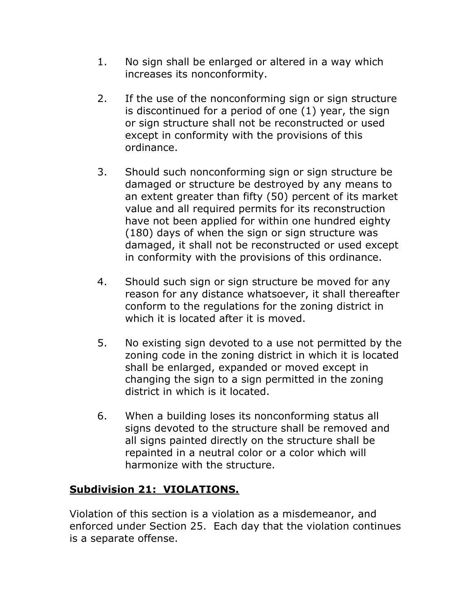- 1. No sign shall be enlarged or altered in a way which increases its nonconformity.
- 2. If the use of the nonconforming sign or sign structure is discontinued for a period of one (1) year, the sign or sign structure shall not be reconstructed or used except in conformity with the provisions of this ordinance.
- 3. Should such nonconforming sign or sign structure be damaged or structure be destroyed by any means to an extent greater than fifty (50) percent of its market value and all required permits for its reconstruction have not been applied for within one hundred eighty (180) days of when the sign or sign structure was damaged, it shall not be reconstructed or used except in conformity with the provisions of this ordinance.
- 4. Should such sign or sign structure be moved for any reason for any distance whatsoever, it shall thereafter conform to the regulations for the zoning district in which it is located after it is moved.
- 5. No existing sign devoted to a use not permitted by the zoning code in the zoning district in which it is located shall be enlarged, expanded or moved except in changing the sign to a sign permitted in the zoning district in which is it located.
- 6. When a building loses its nonconforming status all signs devoted to the structure shall be removed and all signs painted directly on the structure shall be repainted in a neutral color or a color which will harmonize with the structure.

# **Subdivision 21: VIOLATIONS.**

Violation of this section is a violation as a misdemeanor, and enforced under Section 25. Each day that the violation continues is a separate offense.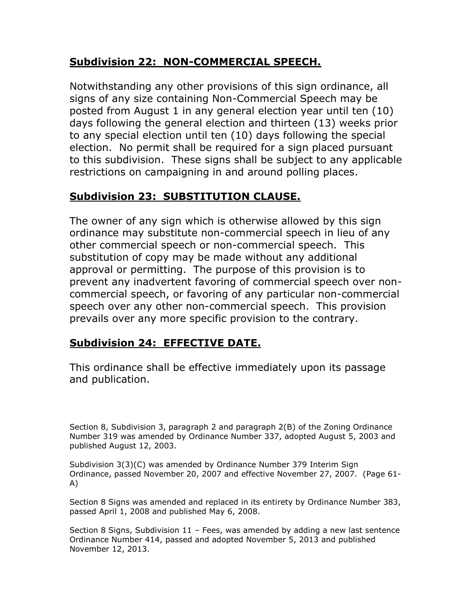## **Subdivision 22: NON-COMMERCIAL SPEECH.**

Notwithstanding any other provisions of this sign ordinance, all signs of any size containing Non-Commercial Speech may be posted from August 1 in any general election year until ten (10) days following the general election and thirteen (13) weeks prior to any special election until ten (10) days following the special election. No permit shall be required for a sign placed pursuant to this subdivision. These signs shall be subject to any applicable restrictions on campaigning in and around polling places.

# **Subdivision 23: SUBSTITUTION CLAUSE.**

The owner of any sign which is otherwise allowed by this sign ordinance may substitute non-commercial speech in lieu of any other commercial speech or non-commercial speech. This substitution of copy may be made without any additional approval or permitting. The purpose of this provision is to prevent any inadvertent favoring of commercial speech over noncommercial speech, or favoring of any particular non-commercial speech over any other non-commercial speech. This provision prevails over any more specific provision to the contrary.

# **Subdivision 24: EFFECTIVE DATE.**

This ordinance shall be effective immediately upon its passage and publication.

Section 8, Subdivision 3, paragraph 2 and paragraph 2(B) of the Zoning Ordinance Number 319 was amended by Ordinance Number 337, adopted August 5, 2003 and published August 12, 2003.

Subdivision 3(3)(C) was amended by Ordinance Number 379 Interim Sign Ordinance, passed November 20, 2007 and effective November 27, 2007. (Page 61- A)

Section 8 Signs was amended and replaced in its entirety by Ordinance Number 383, passed April 1, 2008 and published May 6, 2008.

Section 8 Signs, Subdivision  $11$  – Fees, was amended by adding a new last sentence Ordinance Number 414, passed and adopted November 5, 2013 and published November 12, 2013.